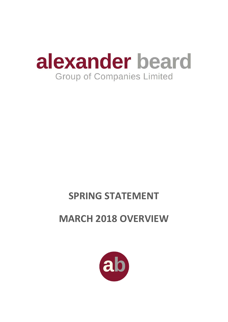

# **SPRING STATEMENT**

# **MARCH 2018 OVERVIEW**

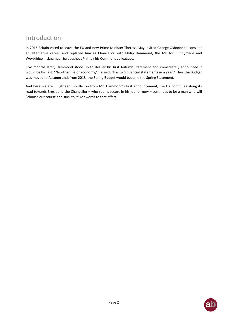### Introduction

In 2016 Britain voted to leave the EU and new Prime Minister Theresa May invited George Osborne to consider an alternative career and replaced him as Chancellor with Philip Hammond, the MP for Runnymede and Weybridge nicknamed 'Spreadsheet Phil' by his Commons colleagues.

Five months later, Hammond stood up to deliver his first Autumn Statement and immediately announced it would be his last. "No other major economy," he said, "has two financial statements in a year." Thus the Budget was moved to Autumn and, from 2018, the Spring Budget would become the Spring Statement.

And here we are… Eighteen months on from Mr. Hammond's first announcement, the UK continues along its road towards Brexit and the Chancellor – who seems secure in his job for now – continues to be a man who will "choose our course and stick to it" (or words to that effect).

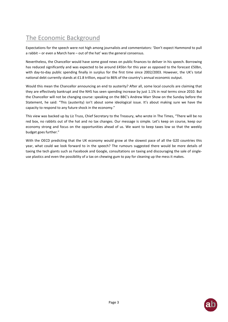# The Economic Background

Expectations for the speech were not high among journalists and commentators: 'Don't expect Hammond to pull a rabbit – or even a March hare – out of the hat' was the general consensus.

Nevertheless, the Chancellor would have some good news on public finances to deliver in his speech. Borrowing has reduced significantly and was expected to be around £45bn for this year as opposed to the forecast £50bn, with day-to-day public spending finally in surplus for the first time since 2002/2003. However, the UK's total national debt currently stands at £1.8 trillion, equal to 86% of the country's annual economic output.

Would this mean the Chancellor announcing an end to austerity? After all, some local councils are claiming that they are effectively bankrupt and the NHS has seen spending increase by just 1.1% in real terms since 2010. But the Chancellor will not be changing course: speaking on the BBC's Andrew Marr Show on the Sunday before the Statement, he said: "This (austerity) isn't about some ideological issue. It's about making sure we have the capacity to respond to any future shock in the economy."

This view was backed up by Liz Truss, Chief Secretary to the Treasury, who wrote in The Times, "There will be no red box, no rabbits out of the hat and no tax changes. Our message is simple. Let's keep on course, keep our economy strong and focus on the opportunities ahead of us. We want to keep taxes low so that the weekly budget goes further."

With the OECD predicting that the UK economy would grow at the slowest pace of all the G20 countries this year, what could we look forward to in the speech? The rumours suggested there would be more details of taxing the tech giants such as Facebook and Google, consultations on taxing and discouraging the sale of singleuse plastics and even the possibility of a tax on chewing gum to pay for cleaning up the mess it makes.

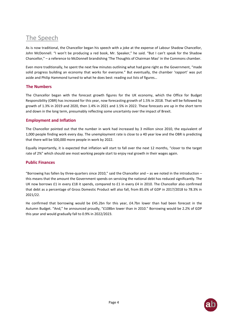## The Speech

As is now traditional, the Chancellor began his speech with a joke at the expense of Labour Shadow Chancellor, John McDonnell. "I won't be producing a red book, Mr. Speaker," he said. "But I can't speak for the Shadow Chancellor," – a reference to McDonnell brandishing 'The Thoughts of Chairman Mao' in the Commons chamber.

Even more traditionally, he spent the next few minutes outlining what had gone right as the Government, "made solid progress building an economy that works for everyone." But eventually, the chamber 'rapport' was put aside and Philip Hammond turned to what he does best: reading out lists of figures…

#### **The Numbers**

The Chancellor began with the forecast growth figures for the UK economy, which the Office for Budget Responsibility (OBR) has increased for this year, now forecasting growth of 1.5% in 2018. That will be followed by growth of 1.3% in 2019 and 2020, then 1.4% in 2021 and 1.5% in 2022. These forecasts are up in the short term and down in the long term, presumably reflecting some uncertainty over the impact of Brexit.

#### **Employment and Inflation**

The Chancellor pointed out that the number in work had increased by 3 million since 2010, the equivalent of 1,000 people finding work every day. The unemployment rate is close to a 40 year low and the OBR is predicting that there will be 500,000 more people in work by 2022.

Equally importantly, it is expected that inflation will start to fall over the next 12 months, "closer to the target rate of 2%" which should see most working people start to enjoy real growth in their wages again.

#### **Public Finances**

"Borrowing has fallen by three-quarters since 2010," said the Chancellor and – as we noted in the introduction – this means that the amount the Government spends on servicing the national debt has reduced significantly. The UK now borrows £1 in every £18 it spends, compared to £1 in every £4 in 2010. The Chancellor also confirmed that debt as a percentage of Gross Domestic Product will also fall, from 85.6% of GDP in 2017/2018 to 78.3% in 2021/22.

He confirmed that borrowing would be £45.2bn for this year, £4.7bn lower than had been forecast in the Autumn Budget. "And," he announced proudly, "£108bn lower than in 2010." Borrowing would be 2.2% of GDP this year and would gradually fall to 0.9% in 2022/2023.

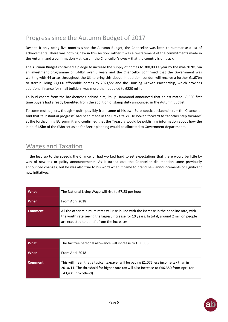# Progress since the Autumn Budget of 2017

Despite it only being five months since the Autumn Budget, the Chancellor was keen to summarise a list of achievements. There was nothing new in this section: rather it was a re-statement of the commitments made in the Autumn and a confirmation – at least in the Chancellor's eyes – that the country is on track.

The Autumn Budget contained a pledge to increase the supply of homes to 300,000 a year by the mid-2020s, via an investment programme of £44bn over 5 years and the Chancellor confirmed that the Government was working with 44 areas throughout the UK to bring this about. In addition, London will receive a further £1.67bn to start building 27,000 affordable homes by 2021/22 and the Housing Growth Partnership, which provides additional finance for small builders, was more than doubled to £220 million.

To loud cheers from the backbenches behind him, Philip Hammond announced that an estimated 60,000 first time buyers had already benefited from the abolition of stamp duty announced in the Autumn Budget.

To some muted jeers, though – quite possibly from some of his own Eurosceptic backbenchers – the Chancellor said that "substantial progress" had been made in the Brexit talks. He looked forward to "another step forward" at the forthcoming EU summit and confirmed that the Treasury would be publishing information about how the initial £1.5bn of the £3bn set aside for Brexit planning would be allocated to Government departments.

### Wages and Taxation

In the lead up to the speech, the Chancellor had worked hard to set expectations that there would be little by way of new tax or policy announcements. As it turned out, the Chancellor did mention some previously announced changes, but he was also true to his word when it came to brand new announcements or significant new initiatives.

| What           | The National Living Wage will rise to £7.83 per hour                                                                                                                                                                                    |
|----------------|-----------------------------------------------------------------------------------------------------------------------------------------------------------------------------------------------------------------------------------------|
| When           | From April 2018                                                                                                                                                                                                                         |
| <b>Comment</b> | All the other minimum rates will rise in line with the increase in the headline rate, with<br>the youth rate seeing the largest increase for 10 years. In total, around 2 million people<br>are expected to benefit from the increases. |

| What           | The tax free personal allowance will increase to £11,850                                                                                                                                                 |
|----------------|----------------------------------------------------------------------------------------------------------------------------------------------------------------------------------------------------------|
| When           | From April 2018                                                                                                                                                                                          |
| <b>Comment</b> | This will mean that a typical taxpayer will be paying £1,075 less income tax than in<br>2010/11. The threshold for higher rate tax will also increase to £46,350 from April (or<br>£43,431 in Scotland). |

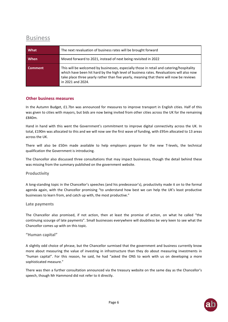### Business

| What           | The next revaluation of business rates will be brought forward                                                                                                                                                                                                                                       |
|----------------|------------------------------------------------------------------------------------------------------------------------------------------------------------------------------------------------------------------------------------------------------------------------------------------------------|
| When           | Moved forward to 2021, instead of next being revisited in 2022                                                                                                                                                                                                                                       |
| <b>Comment</b> | This will be welcomed by businesses, especially those in retail and catering/hospitality<br>which have been hit hard by the high level of business rates. Revaluations will also now<br>take place three yearly rather than five yearly, meaning that there will now be reviews<br>in 2021 and 2024. |

#### **Other business measures**

In the Autumn Budget, £1.7bn was announced for measures to improve transport in English cities. Half of this was given to cities with mayors, but bids are now being invited from other cities across the UK for the remaining £840m.

Hand in hand with this went the Government's commitment to improve digital connectivity across the UK. In total, £190m was allocated to this and we will now see the first wave of funding, with £95m allocated to 13 areas across the UK.

There will also be £50m made available to help employers prepare for the new T-levels, the technical qualification the Government is introducing.

The Chancellor also discussed three consultations that may impact businesses, though the detail behind these was missing from the summary published on the government website.

#### **Productivity**

A long-standing topic in the Chancellor's speeches (and his predecessor's), productivity made it on to the formal agenda again, with the Chancellor promising "to understand how best we can help the UK's least productive businesses to learn from, and catch up with, the most productive."

#### **Late payments**

The Chancellor also promised, if not action, then at least the promise of action, on what he called "the continuing scourge of late payments". Small businesses everywhere will doubtless be very keen to see what the Chancellor comes up with on this topic.

#### **"Human capital"**

A slightly odd choice of phrase, but the Chancellor surmised that the government and business currently know more about measuring the value of investing in infrastructure than they do about measuring investments in "human capital". For this reason, he said, he had "asked the ONS to work with us on developing a more sophisticated measure."

There was then a further consultation announced via the treasury website on the same day as the Chancellor's speech, though Mr Hammond did not refer to it directly.

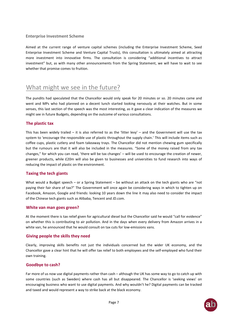#### **Enterprise Investment Scheme**

Aimed at the current range of venture capital schemes (including the Enterprise Investment Scheme, Seed Enterprise Investment Scheme and Venture Capital Trusts), this consultation is ultimately aimed at attracting more investment into innovative firms. The consultation is considering "additional incentives to attract investment" but, as with many other announcements from the Spring Statement, we will have to wait to see whether that promise comes to fruition.

### What might we see in the future?

The pundits had speculated that the Chancellor would only speak for 20 minutes or so. 20 minutes came and went and MPs who had planned on a decent lunch started looking nervously at their watches. But in some senses, this last section of the speech was the most interesting, as it gave a clear indication of the measures we might see in future Budgets, depending on the outcome of various consultations.

#### **The plastic tax**

This has been widely trailed – it is also referred to as the 'litter levy' – and the Government will use the tax system to 'encourage the responsible use of plastic throughout the supply chain.' This will include items such as coffee cups, plastic cutlery and foam takeaway trays. The Chancellor did not mention chewing gum specifically but the rumours are that it will also be included in the measures. "Some of the money raised from any tax changes," for which you can read, 'there will be tax changes' – will be used to encourage the creation of newer, greener products, while £20m will also be given to businesses and universities to fund research into ways of reducing the impact of plastic on the environment.

#### **Taxing the tech giants**

What would a Budget speech – or a Spring Statement – be without an attack on the tech giants who are "not paying their fair share of tax?" The Government will once again be considering ways in which to tighten up on Facebook, Amazon, Google and friends: looking 10 years down the line it may also need to consider the impact of the Chinese tech giants such as Alibaba, Tencent and JD.com.

#### **White van man goes green?**

At the moment there is tax relief given for agricultural diesel but the Chancellor said he would "call for evidence" on whether this is contributing to air pollution. And in the days when every delivery from Amazon arrives in a white van, he announced that he would consult on tax cuts for low-emissions vans.

#### **Giving people the skills they need**

Clearly, improving skills benefits not just the individuals concerned but the wider UK economy, and the Chancellor gave a clear hint that he will offer tax relief to both employees and the self-employed who fund their own training.

#### **Goodbye to cash?**

Far more of us now use digital payments rather than cash – although the UK has some way to go to catch up with some countries (such as Sweden) where cash has all but disappeared. The Chancellor is 'seeking views' on encouraging business who want to use digital payments. And why wouldn't he? Digital payments can be tracked and taxed and would represent a way to strike back at the black economy.